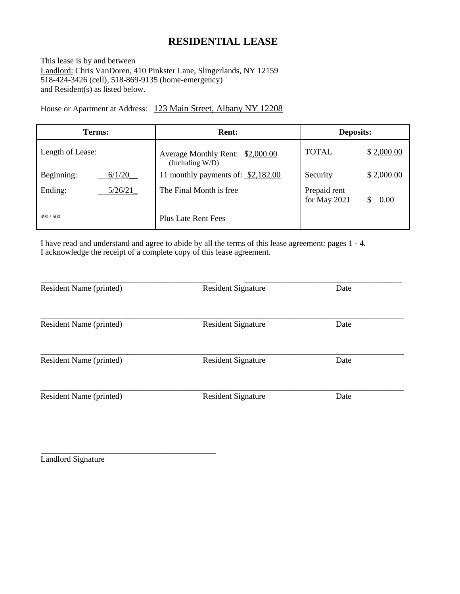# **RESIDENTIAL LEASE**

This lease is by and between Landlord: Chris VanDoren, 410 Pinkster Lane, Slingerlands, NY 12159 518-424-3426 (cell), 518-869-9135 (home-emergency) and Resident(s) as listed below.

House or Apartment at Address: 123 Main Street, Albany NY 12208

| Terms:               | <b>Rent:</b>                                           | <b>Deposits:</b>                     |
|----------------------|--------------------------------------------------------|--------------------------------------|
| Length of Lease:     | Average Monthly Rent: \$2,000.00<br>(Including $W/D$ ) | <b>TOTAL</b><br>\$2,000.00           |
| Beginning:<br>6/1/20 | 11 monthly payments of: \$2,182.00                     | \$2,000.00<br>Security               |
| Ending:<br>5/26/21   | The Final Month is free.                               | Prepaid rent<br>for May 2021<br>0.00 |
| 490/500              | Plus Late Rent Fees                                    |                                      |

I have read and understand and agree to abide by all the terms of this lease agreement: pages 1 - 4. I acknowledge the receipt of a complete copy of this lease agreement.

| Resident Name (printed) | <b>Resident Signature</b> | Date |
|-------------------------|---------------------------|------|
| Resident Name (printed) | <b>Resident Signature</b> | Date |
| Resident Name (printed) | <b>Resident Signature</b> | Date |
| Resident Name (printed) | <b>Resident Signature</b> | Date |
|                         |                           |      |

\_\_\_\_\_\_\_\_\_\_\_\_\_\_\_\_\_\_\_\_\_\_\_\_\_\_\_\_\_\_\_\_\_\_\_\_\_\_\_\_\_\_ Landlord Signature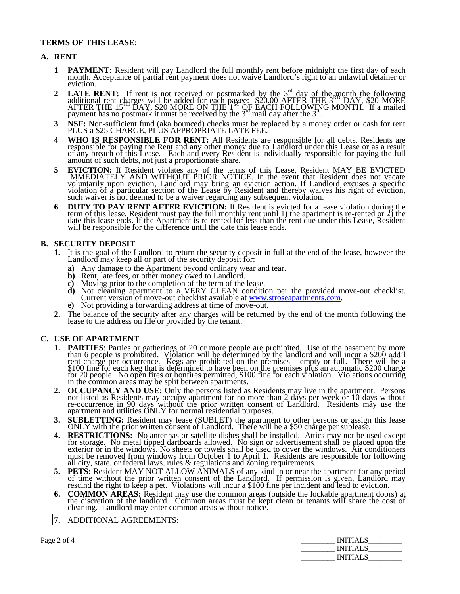## **TERMS OF THIS LEASE:**

### **A. RENT**

- **1 PAYMENT:** Resident will pay Landlord the full monthly rent before midnight the first day of each month. Acceptance of partial rent payment does not waive Landlord's right to an unlawful detainer or eviction.
- **2 LATE RENT:** If rent is not received or postmarked by the  $3<sup>rd</sup>$  day of the month the following additional rent charges will be added for each payee: \$20.00 AFTER THE 3 RD DAY, \$20 MORE AFTER THE 15<sup>TH</sup> DAY, \$20 MORE ON THE 1<sup>ST</sup> OF EACH FOLLOWING MONTH. If a mailed payment has no postmark it must be received by the  $3<sup>rd</sup>$  mail day after the  $3<sup>rd</sup>$ .
- **3 NSF:** Non-sufficient fund (aka bounced) checks must be replaced by a money order or cash for rent PLUS a \$25 CHARGE, PLUS APPROPRIATE LATE FEE.
- **4 WHO IS RESPONSIBLE FOR RENT:** All Residents are responsible for all debts. Residents are responsible for paying the Rent and any other money due to Landlord under this Lease or as a result of any breach of this Lease. Each and every Resident is individually responsible for paying the full amount of such debts, not just a proportionate share.
- **5 EVICTION:** If Resident violates any of the terms of this Lease, Resident MAY BE EVICTED IMMEDIATELY AND WITHOUT PRIOR NOTICE. In the event that Resident does not vacate voluntarily upon eviction, Landlord may bring an eviction action. If Landlord excuses a specific violation of a particular section of the Lease by Resident and thereby waives his right of eviction, such waiver is not deemed to be a waiver regarding any subsequent violation.
- **6 DUTY TO PAY RENT AFTER EVICTION:** If Resident is evicted for a lease violation during the term of this lease, Resident must pay the full monthly rent until 1) the apartment is re-rented or 2) the date this lease ends. If the Apartment is re-rented for less than the rent due under this Lease, Resident will be responsible for the difference until the date this lease ends.

## **B. SECURITY DEPOSIT**

- **1.** It is the goal of the Landlord to return the security deposit in full at the end of the lease, however the Landlord may keep all or part of the security deposit for:
	- **a)** Any damage to the Apartment beyond ordinary wear and tear.
	- **b)** Rent, late fees, or other money owed to Landlord.
	- **c)** Moving prior to the completion of the term of the lease.
	- **d)** Not cleaning apartment to a VERY CLEAN condition per the provided move-out checklist. Current version of move-out checklist available at [www.stroseapartments.com.](http://www.stroseapartments.com/)
	- **e)** Not providing a forwarding address at time of move-out.
- **2.** The balance of the security after any charges will be returned by the end of the month following the lease to the address on file or provided by the tenant.

### **C. USE OF APARTMENT**

- **1. PARTIES**: Parties or gatherings of 20 or more people are prohibited. Use of the basement by more than 6 people is prohibited. Violation will be determined by the landlord and will incur a \$200 add'l rent charge per occurrence. Kegs are prohibited on the premises – empty or full. There will be a \$100 fine for each keg that is determined to have been on the premises plus an automatic \$200 charge for 20 people. No open fires or bonfires permitted, \$100 fine for each violation. Violations occurring in the common areas may be split between apartments.
- **2. OCCUPANCY AND USE:** Only the persons listed as Residents may live in the apartment. Persons not listed as Residents may occupy apartment for no more than 2 days per week or 10 days without re-occurrence in 90 days without the prior written consent of Landlord. Residents may use the apartment and utilities ONLY for normal residential purposes.
- **3. SUBLETTING:** Resident may lease (SUBLET) the apartment to other persons or assign this lease ONLY with the prior written consent of Landlord. There will be a \$50 charge per sublease.
- **4. RESTRICTIONS:** No antennas or satellite dishes shall be installed. Attics may not be used except for storage. No metal tipped dartboards allowed. No sign or advertisement shall be placed upon the exterior or in the windows. No sheets or towels shall be used to cover the windows. Air conditioners must be removed from windows from October 1 to April 1. Residents are responsible for following all city, state, or federal laws, rules & regulations and zoning requirements.
- **5. PETS:** Resident MAY NOT ALLOW ANIMALS of any kind in or near the apartment for any period of time without the prior written consent of the Landlord. If permission is given, Landlord may rescind the right to keep a pet. Violations will incur a \$100 fine per incident and lead to eviction.
- **6. COMMON AREAS:** Resident may use the common areas (outside the lockable apartment doors) at the discretion of the landlord. Common areas must be kept clean or tenants will share the cost of cleaning. Landlord may enter common areas without notice.
- **7.** ADDITIONAL AGREEMENTS:

Page 2 of 4 \_\_\_\_\_\_\_\_\_ INITIALS\_\_\_\_\_\_\_\_\_ \_\_\_\_\_\_\_\_\_ INITIALS\_\_\_\_\_\_\_\_\_  $\_$  INITIALS $\_$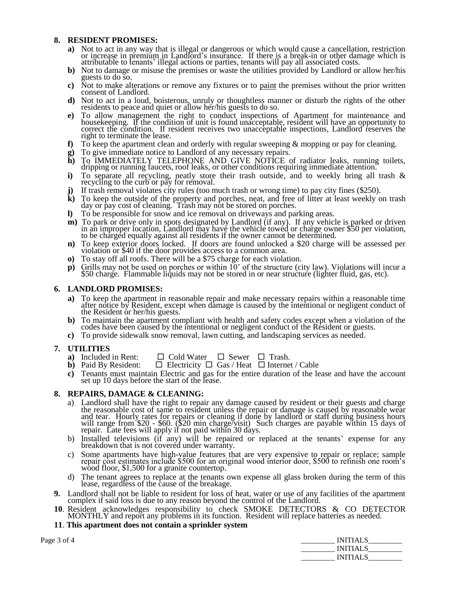### **8. RESIDENT PROMISES:**

- **a)** Not to act in any way that is illegal or dangerous or which would cause a cancellation, restriction or increase in premium in Landlord's insurance. If there is a break-in or other damage which is attributable to tenants' illegal actions or parties, tenants will pay all associated costs.
- **b)** Not to damage or misuse the premises or waste the utilities provided by Landlord or allow her/his guests to do so.
- **c)** Not to make alterations or remove any fixtures or to paint the premises without the prior written consent of Landlord.
- **d)** Not to act in a loud, boisterous, unruly or thoughtless manner or disturb the rights of the other residents to peace and quiet or allow her/his guests to do so.
- **e)** To allow management the right to conduct inspections of Apartment for maintenance and housekeeping. If the condition of unit is found unacceptable, resident will have an opportunity to correct the condition. If resident receives two unacceptable inspections, Landlord reserves the right to terminate the lease.
- **f)** To keep the apartment clean and orderly with regular sweeping & mopping or pay for cleaning.
- **g)** To give immediate notice to Landlord of any necessary repairs.
- **h)** To IMMEDIATELY TELEPHONE AND GIVE NOTICE of radiator leaks, running toilets, dripping or running faucets, roof leaks, or other conditions requiring immediate attention.
- **i)** To separate all recycling, neatly store their trash outside, and to weekly bring all trash & recycling to the curb or pay for removal.
- **j)** If trash removal violates city rules (too much trash or wrong time) to pay city fines (\$250).
- **k)** To keep the outside of the property and porches, neat, and free of litter at least weekly on trash day or pay cost of cleaning. Trash may not be stored on porches.
- **l)** To be responsible for snow and ice removal on driveways and parking areas.
- **m)** To park or drive only in spots designated by Landlord (if any). If any vehicle is parked or driven in an improper location, Landlord may have the vehicle towed or charge owner \$50 per violation, to be charged equally against all residents if the owner cannot be determined.
- **n)** To keep exterior doors locked. If doors are found unlocked a \$20 charge will be assessed per violation or \$40 if the door provides access to a common area.
- **o)** To stay off all roofs. There will be a \$75 charge for each violation.
- **p)** Grills may not be used on porches or within 10' of the structure (city law). Violations will incur a \$50 charge. Flammable liquids may not be stored in or near structure (lighter fluid, gas, etc).

### **6. LANDLORD PROMISES:**

- **a)** To keep the apartment in reasonable repair and make necessary repairs within a reasonable time after notice by Resident, except when damage is caused by the intentional or negligent conduct of the Resident or her/his guests.
- **b)** To maintain the apartment compliant with health and safety codes except when a violation of the codes have been caused by the intentional or negligent conduct of the Resident or guests.
- **c)** To provide sidewalk snow removal, lawn cutting, and landscaping services as needed.

- **7. UTILITIES**  $\Box$  Cold Water  $\Box$  Sewer  $\Box$  Trash.
	- **b**) Paid By Resident:  $\Box$  Electricity  $\Box$  Gas / Heat  $\Box$  Internet / Cable
	- **c)** Tenants must maintain Electric and gas for the entire duration of the lease and have the account set up 10 days before the start of the lease.

### **8. REPAIRS, DAMAGE & CLEANING:**

- a) Landlord shall have the right to repair any damage caused by resident or their guests and charge the reasonable cost of same to resident unless the repair or damage is caused by reasonable wear and tear. Hourly rates for repairs or cleaning if done by landlord or staff during business hours will range from \$20 - \$60. (\$20 min charge/visit) Such charges are payable within 15 days of repair. Late fees will apply if not paid within 30 days.
- b) Installed televisions (if any) will be repaired or replaced at the tenants' expense for any breakdown that is not covered under warranty.
- c) Some apartments have high-value features that are very expensive to repair or replace; sample repair cost estimates include \$500 for an original wood interior door, \$500 to refinish one room's wood floor, \$1,500 for a granite countertop.
- d) The tenant agrees to replace at the tenants own expense all glass broken during the term of this lease, regardless of the cause of the breakage.
- **9.** Landlord shall not be liable to resident for loss of heat, water or use of any facilities of the apartment complex if said loss is due to any reason beyond the control of the Landlord.
- **10**. Resident acknowledges responsibility to check SMOKE DETECTORS & CO DETECTOR MONTHLY and report any problems in its function. Resident will replace batteries as needed.
- **11**. **This apartment does not contain a sprinkler system**

| Page 3 of 4 | <b>INITIALS</b> |
|-------------|-----------------|
|             | <b>INITIALS</b> |
|             | <b>INITIALS</b> |